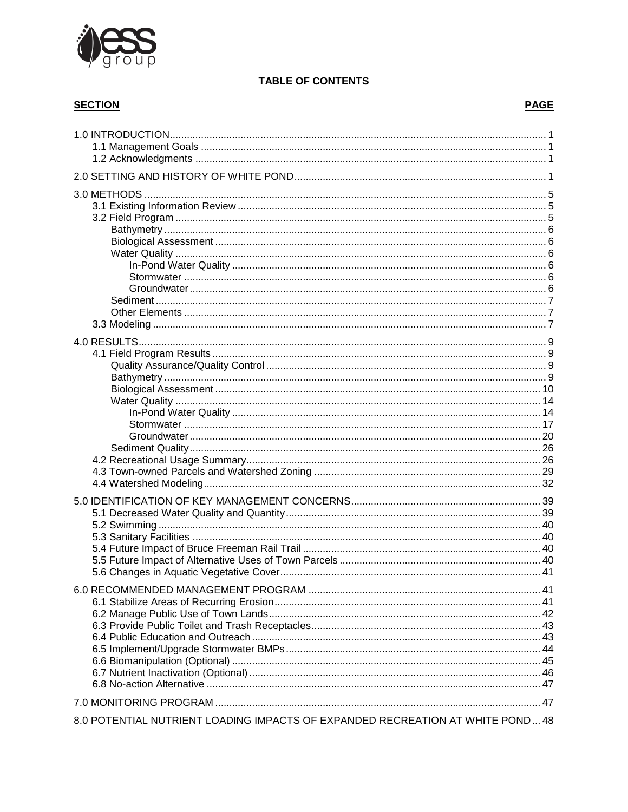

# **TABLE OF CONTENTS**

# **SECTION**

| 8.0 POTENTIAL NUTRIENT LOADING IMPACTS OF EXPANDED RECREATION AT WHITE POND 48 |  |
|--------------------------------------------------------------------------------|--|

# **PAGE**